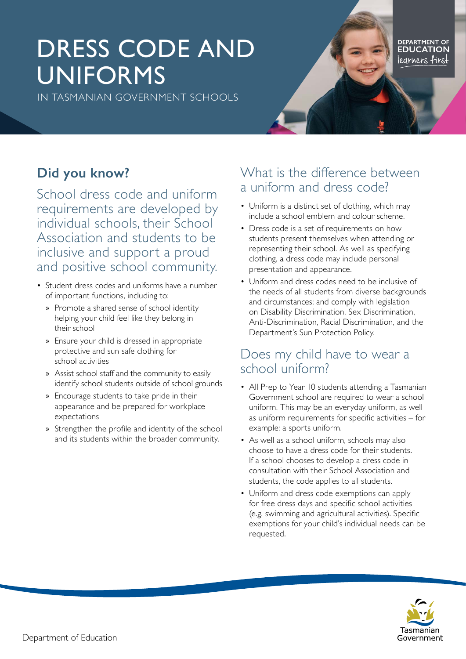# DRESS CODE AND UNIFORMS

IN TASMANIAN GOVERNMENT SCHOOLS

DEPARTMENT OF<br>**EDUCATION** learners firs:

## **Did you know?**

School dress code and uniform requirements are developed by individual schools, their School Association and students to be inclusive and support a proud and positive school community.

- Student dress codes and uniforms have a number of important functions, including to:
	- » Promote a shared sense of school identity helping your child feel like they belong in their school
	- » Ensure your child is dressed in appropriate protective and sun safe clothing for school activities
	- » Assist school staff and the community to easily identify school students outside of school grounds
	- » Encourage students to take pride in their appearance and be prepared for workplace expectations
	- » Strengthen the profile and identity of the school and its students within the broader community.

#### What is the difference between a uniform and dress code?

- Uniform is a distinct set of clothing, which may include a school emblem and colour scheme.
- Dress code is a set of requirements on how students present themselves when attending or representing their school. As well as specifying clothing, a dress code may include personal presentation and appearance.
- Uniform and dress codes need to be inclusive of the needs of all students from diverse backgrounds and circumstances; and comply with legislation on Disability Discrimination, Sex Discrimination, Anti-Discrimination, Racial Discrimination, and the Department's Sun Protection Policy.

#### Does my child have to wear a school uniform?

- All Prep to Year 10 students attending a Tasmanian Government school are required to wear a school uniform. This may be an everyday uniform, as well as uniform requirements for specific activities – for example: a sports uniform.
- As well as a school uniform, schools may also choose to have a dress code for their students. If a school chooses to develop a dress code in consultation with their School Association and students, the code applies to all students.
- Uniform and dress code exemptions can apply for free dress days and specific school activities (e.g. swimming and agricultural activities). Specific exemptions for your child's individual needs can be requested.